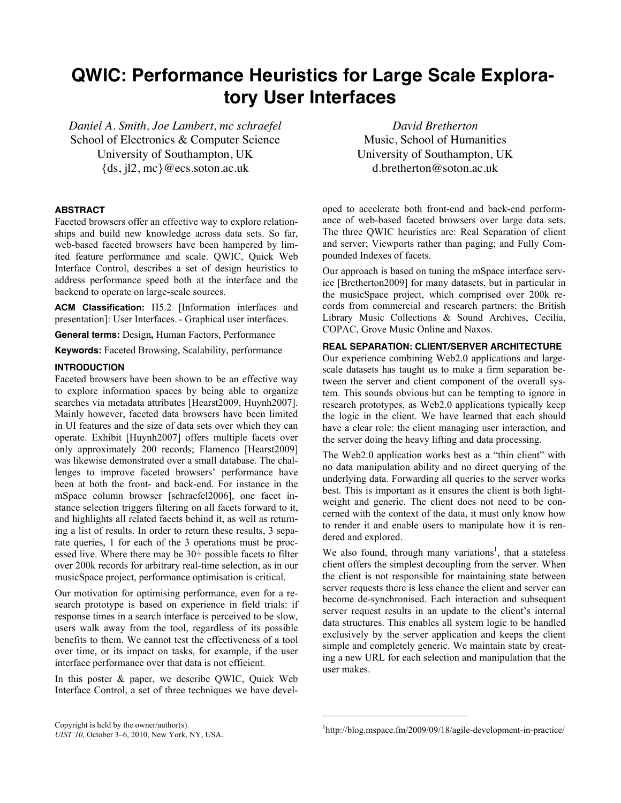# **QWIC: Performance Heuristics for Large Scale Exploratory User Interfaces**

*Daniel A. Smith, Joe Lambert, mc schraefel* School of Electronics & Computer Science University of Southampton, UK {ds, jl2, mc}@ecs.soton.ac.uk

### **ABSTRACT**

Faceted browsers offer an effective way to explore relationships and build new knowledge across data sets. So far, web-based faceted browsers have been hampered by limited feature performance and scale. QWIC, Quick Web Interface Control, describes a set of design heuristics to address performance speed both at the interface and the backend to operate on large-scale sources.

**ACM Classification:** H5.2 [Information interfaces and presentation]: User Interfaces.- Graphical user interfaces.

**General terms:** Design**,** Human Factors, Performance

**Keywords:** Faceted Browsing, Scalability, performance

# **INTRODUCTION**

Faceted browsers have been shown to be an effective way to explore information spaces by being able to organize searches via metadata attributes [Hearst2009, Huynh2007]. Mainly however, faceted data browsers have been limited in UI features and the size of data sets over which they can operate. Exhibit [Huynh2007] offers multiple facets over only approximately 200 records; Flamenco [Hearst2009] was likewise demonstrated over a small database. The challenges to improve faceted browsers' performance have been at both the front- and back-end. For instance in the mSpace column browser [schraefel2006], one facet instance selection triggers filtering on all facets forward to it, and highlights all related facets behind it, as well as returning a list of results. In order to return these results, 3 separate queries, 1 for each of the 3 operations must be processed live. Where there may be 30+ possible facets to filter over 200k records for arbitrary real-time selection, as in our musicSpace project, performance optimisation is critical.

Our motivation for optimising performance, even for a research prototype is based on experience in field trials: if response times in a search interface is perceived to be slow, users walk away from the tool, regardless of its possible benefits to them. We cannot test the effectiveness of a tool over time, or its impact on tasks, for example, if the user interface performance over that data is not efficient.

In this poster & paper, we describe QWIC, Quick Web Interface Control, a set of three techniques we have devel-

*David Bretherton* Music, School of Humanities University of Southampton, UK d.bretherton@soton.ac.uk

oped to accelerate both front-end and back-end performance of web-based faceted browsers over large data sets. The three QWIC heuristics are: Real Separation of client and server; Viewports rather than paging; and Fully Compounded Indexes of facets.

Our approach is based on tuning the mSpace interface service [Bretherton2009] for many datasets, but in particular in the musicSpace project, which comprised over 200k records from commercial and research partners: the British Library Music Collections & Sound Archives, Cecilia, COPAC, Grove Music Online and Naxos.

# **REAL SEPARATION: CLIENT/SERVER ARCHITECTURE**

Our experience combining Web2.0 applications and largescale datasets has taught us to make a firm separation between the server and client component of the overall system. This sounds obvious but can be tempting to ignore in research prototypes, as Web2.0 applications typically keep the logic in the client. We have learned that each should have a clear role: the client managing user interaction, and the server doing the heavy lifting and data processing.

The Web2.0 application works best as a "thin client" with no data manipulation ability and no direct querying of the underlying data. Forwarding all queries to the server works best. This is important as it ensures the client is both lightweight and generic. The client does not need to be concerned with the context of the data, it must only know how to render it and enable users to manipulate how it is rendered and explored.

We also found, through many variations<sup>1</sup>, that a stateless client offers the simplest decoupling from the server. When the client is not responsible for maintaining state between server requests there is less chance the client and server can become de-synchronised. Each interaction and subsequent server request results in an update to the client's internal data structures. This enables all system logic to be handled exclusively by the server application and keeps the client simple and completely generic. We maintain state by creating a new URL for each selection and manipulation that the user makes.

 $\overline{a}$ 

Copyright is held by the owner/author(s).<br>UST/10 October 3, 6, 2010, Now York, NY USA